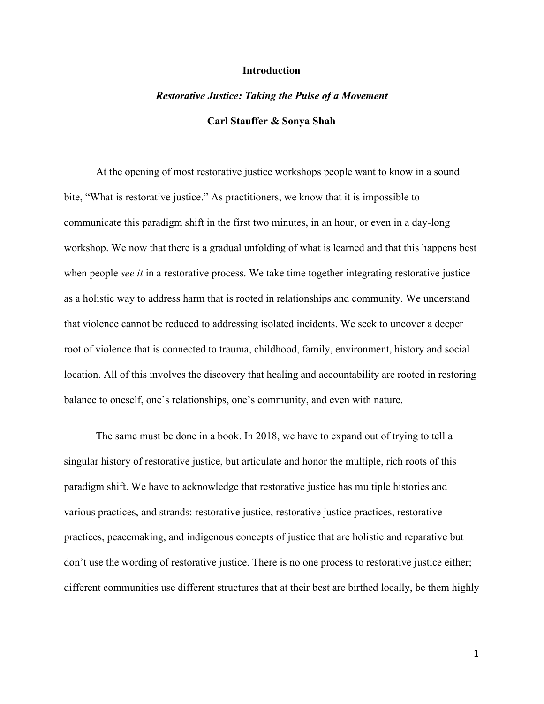#### **Introduction**

# *Restorative Justice: Taking the Pulse of a Movement* **Carl Stauffer & Sonya Shah**

At the opening of most restorative justice workshops people want to know in a sound bite, "What is restorative justice." As practitioners, we know that it is impossible to communicate this paradigm shift in the first two minutes, in an hour, or even in a day-long workshop. We now that there is a gradual unfolding of what is learned and that this happens best when people *see it* in a restorative process. We take time together integrating restorative justice as a holistic way to address harm that is rooted in relationships and community. We understand that violence cannot be reduced to addressing isolated incidents. We seek to uncover a deeper root of violence that is connected to trauma, childhood, family, environment, history and social location. All of this involves the discovery that healing and accountability are rooted in restoring balance to oneself, one's relationships, one's community, and even with nature.

The same must be done in a book. In 2018, we have to expand out of trying to tell a singular history of restorative justice, but articulate and honor the multiple, rich roots of this paradigm shift. We have to acknowledge that restorative justice has multiple histories and various practices, and strands: restorative justice, restorative justice practices, restorative practices, peacemaking, and indigenous concepts of justice that are holistic and reparative but don't use the wording of restorative justice. There is no one process to restorative justice either; different communities use different structures that at their best are birthed locally, be them highly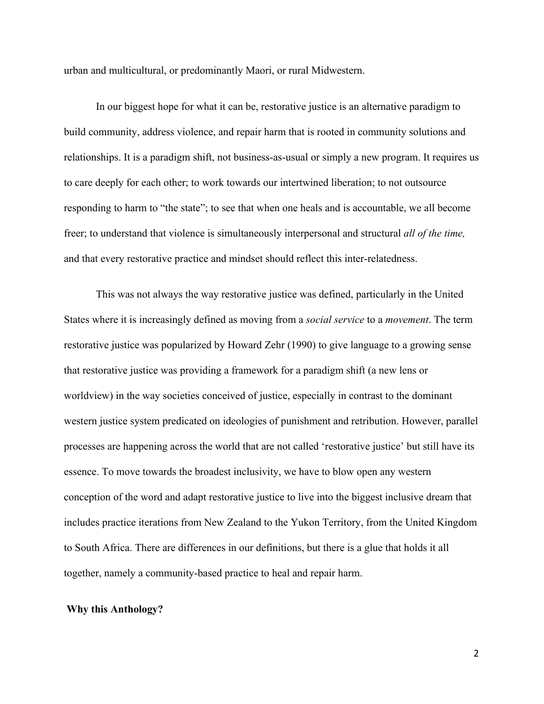urban and multicultural, or predominantly Maori, or rural Midwestern.

In our biggest hope for what it can be, restorative justice is an alternative paradigm to build community, address violence, and repair harm that is rooted in community solutions and relationships. It is a paradigm shift, not business-as-usual or simply a new program. It requires us to care deeply for each other; to work towards our intertwined liberation; to not outsource responding to harm to "the state"; to see that when one heals and is accountable, we all become freer; to understand that violence is simultaneously interpersonal and structural *all of the time,* and that every restorative practice and mindset should reflect this inter-relatedness.

This was not always the way restorative justice was defined, particularly in the United States where it is increasingly defined as moving from a *social service* to a *movement*. The term restorative justice was popularized by Howard Zehr (1990) to give language to a growing sense that restorative justice was providing a framework for a paradigm shift (a new lens or worldview) in the way societies conceived of justice, especially in contrast to the dominant western justice system predicated on ideologies of punishment and retribution. However, parallel processes are happening across the world that are not called 'restorative justice' but still have its essence. To move towards the broadest inclusivity, we have to blow open any western conception of the word and adapt restorative justice to live into the biggest inclusive dream that includes practice iterations from New Zealand to the Yukon Territory, from the United Kingdom to South Africa. There are differences in our definitions, but there is a glue that holds it all together, namely a community-based practice to heal and repair harm.

#### **Why this Anthology?**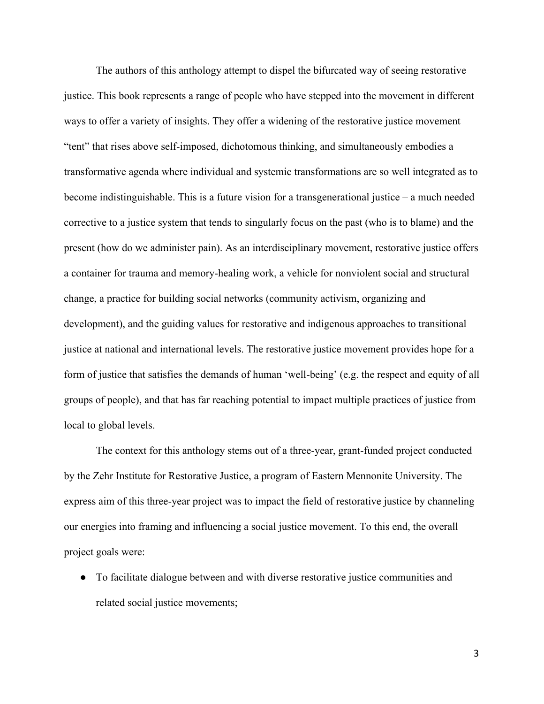The authors of this anthology attempt to dispel the bifurcated way of seeing restorative justice. This book represents a range of people who have stepped into the movement in different ways to offer a variety of insights. They offer a widening of the restorative justice movement "tent" that rises above self-imposed, dichotomous thinking, and simultaneously embodies a transformative agenda where individual and systemic transformations are so well integrated as to become indistinguishable. This is a future vision for a transgenerational justice – a much needed corrective to a justice system that tends to singularly focus on the past (who is to blame) and the present (how do we administer pain). As an interdisciplinary movement, restorative justice offers a container for trauma and memory-healing work, a vehicle for nonviolent social and structural change, a practice for building social networks (community activism, organizing and development), and the guiding values for restorative and indigenous approaches to transitional justice at national and international levels. The restorative justice movement provides hope for a form of justice that satisfies the demands of human 'well-being' (e.g. the respect and equity of all groups of people), and that has far reaching potential to impact multiple practices of justice from local to global levels.

The context for this anthology stems out of a three-year, grant-funded project conducted by the Zehr Institute for Restorative Justice, a program of Eastern Mennonite University. The express aim of this three-year project was to impact the field of restorative justice by channeling our energies into framing and influencing a social justice movement. To this end, the overall project goals were:

● To facilitate dialogue between and with diverse restorative justice communities and related social justice movements;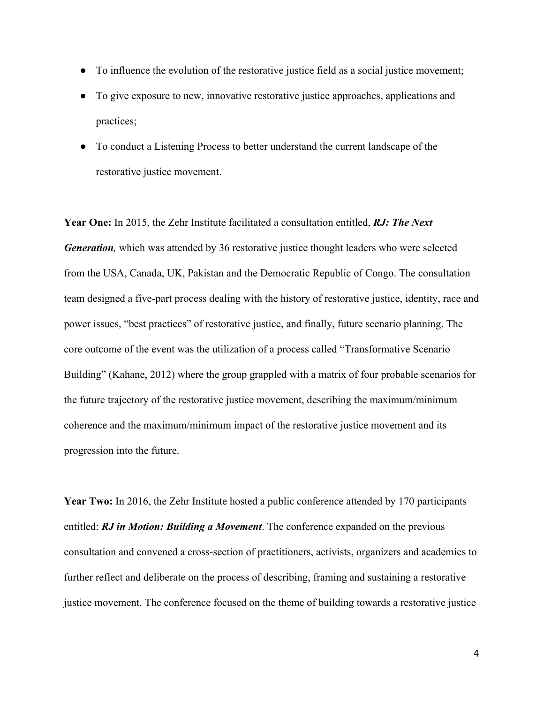- To influence the evolution of the restorative justice field as a social justice movement;
- To give exposure to new, innovative restorative justice approaches, applications and practices;
- To conduct a Listening Process to better understand the current landscape of the restorative justice movement.

**Year One:** In 2015, the Zehr Institute facilitated a consultation entitled, *RJ: The Next Generation,* which was attended by 36 restorative justice thought leaders who were selected from the USA, Canada, UK, Pakistan and the Democratic Republic of Congo. The consultation team designed a five-part process dealing with the history of restorative justice, identity, race and power issues, "best practices" of restorative justice, and finally, future scenario planning. The core outcome of the event was the utilization of a process called "Transformative Scenario Building" (Kahane, 2012) where the group grappled with a matrix of four probable scenarios for the future trajectory of the restorative justice movement, describing the maximum/minimum coherence and the maximum/minimum impact of the restorative justice movement and its progression into the future.

**Year Two:** In 2016, the Zehr Institute hosted a public conference attended by 170 participants entitled: *RJ in Motion: Building a Movement*. The conference expanded on the previous consultation and convened a cross-section of practitioners, activists, organizers and academics to further reflect and deliberate on the process of describing, framing and sustaining a restorative justice movement. The conference focused on the theme of building towards a restorative justice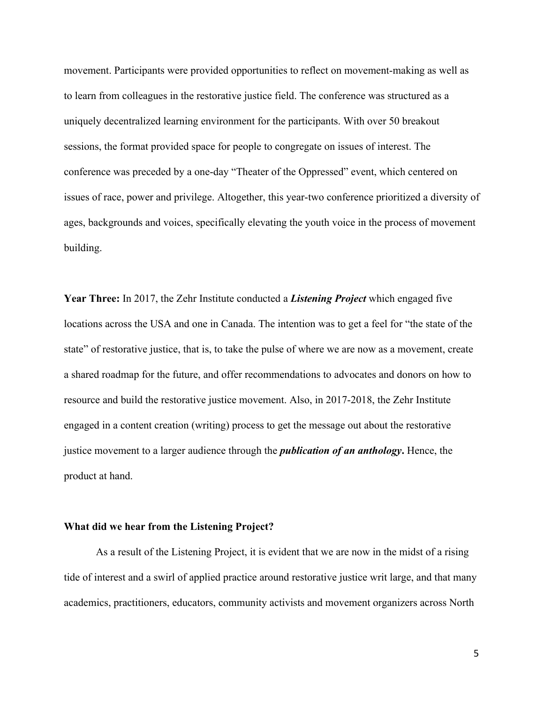movement. Participants were provided opportunities to reflect on movement-making as well as to learn from colleagues in the restorative justice field. The conference was structured as a uniquely decentralized learning environment for the participants. With over 50 breakout sessions, the format provided space for people to congregate on issues of interest. The conference was preceded by a one-day "Theater of the Oppressed" event, which centered on issues of race, power and privilege. Altogether, this year-two conference prioritized a diversity of ages, backgrounds and voices, specifically elevating the youth voice in the process of movement building.

**Year Three:** In 2017, the Zehr Institute conducted a *Listening Project* which engaged five locations across the USA and one in Canada. The intention was to get a feel for "the state of the state" of restorative justice, that is, to take the pulse of where we are now as a movement, create a shared roadmap for the future, and offer recommendations to advocates and donors on how to resource and build the restorative justice movement. Also, in 2017-2018, the Zehr Institute engaged in a content creation (writing) process to get the message out about the restorative justice movement to a larger audience through the *publication of an anthology***.** Hence, the product at hand.

### **What did we hear from the Listening Project?**

As a result of the Listening Project, it is evident that we are now in the midst of a rising tide of interest and a swirl of applied practice around restorative justice writ large, and that many academics, practitioners, educators, community activists and movement organizers across North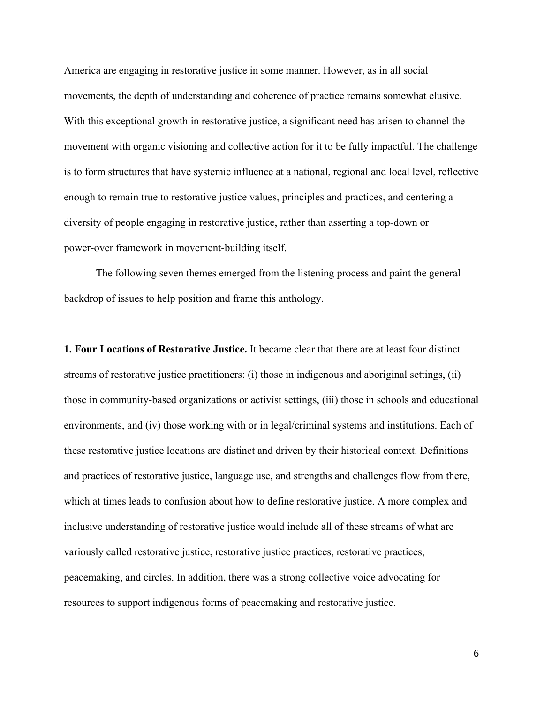America are engaging in restorative justice in some manner. However, as in all social movements, the depth of understanding and coherence of practice remains somewhat elusive. With this exceptional growth in restorative justice, a significant need has arisen to channel the movement with organic visioning and collective action for it to be fully impactful. The challenge is to form structures that have systemic influence at a national, regional and local level, reflective enough to remain true to restorative justice values, principles and practices, and centering a diversity of people engaging in restorative justice, rather than asserting a top-down or power-over framework in movement-building itself.

The following seven themes emerged from the listening process and paint the general backdrop of issues to help position and frame this anthology.

**1. Four Locations of Restorative Justice.** It became clear that there are at least four distinct streams of restorative justice practitioners: (i) those in indigenous and aboriginal settings, (ii) those in community-based organizations or activist settings, (iii) those in schools and educational environments, and (iv) those working with or in legal/criminal systems and institutions. Each of these restorative justice locations are distinct and driven by their historical context. Definitions and practices of restorative justice, language use, and strengths and challenges flow from there, which at times leads to confusion about how to define restorative justice. A more complex and inclusive understanding of restorative justice would include all of these streams of what are variously called restorative justice, restorative justice practices, restorative practices, peacemaking, and circles. In addition, there was a strong collective voice advocating for resources to support indigenous forms of peacemaking and restorative justice.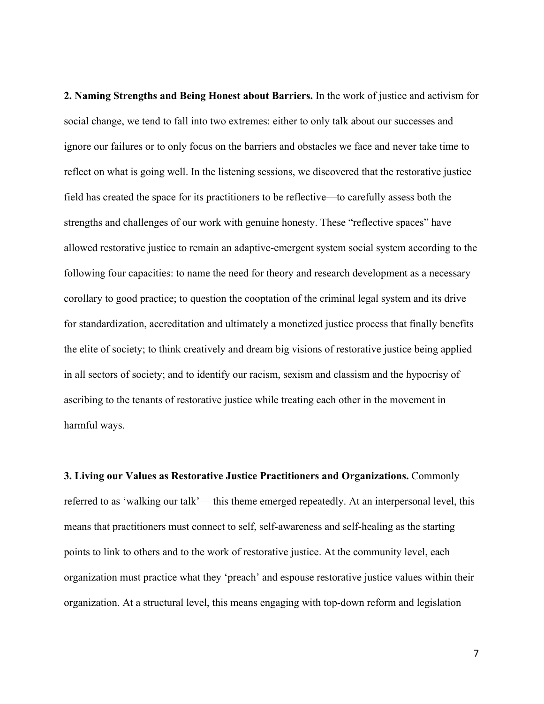**2. Naming Strengths and Being Honest about Barriers.** In the work of justice and activism for social change, we tend to fall into two extremes: either to only talk about our successes and ignore our failures or to only focus on the barriers and obstacles we face and never take time to reflect on what is going well. In the listening sessions, we discovered that the restorative justice field has created the space for its practitioners to be reflective—to carefully assess both the strengths and challenges of our work with genuine honesty. These "reflective spaces" have allowed restorative justice to remain an adaptive-emergent system social system according to the following four capacities: to name the need for theory and research development as a necessary corollary to good practice; to question the cooptation of the criminal legal system and its drive for standardization, accreditation and ultimately a monetized justice process that finally benefits the elite of society; to think creatively and dream big visions of restorative justice being applied in all sectors of society; and to identify our racism, sexism and classism and the hypocrisy of ascribing to the tenants of restorative justice while treating each other in the movement in harmful ways.

**3. Living our Values as Restorative Justice Practitioners and Organizations.** Commonly referred to as 'walking our talk'— this theme emerged repeatedly. At an interpersonal level, this means that practitioners must connect to self, self-awareness and self-healing as the starting points to link to others and to the work of restorative justice. At the community level, each organization must practice what they 'preach' and espouse restorative justice values within their organization. At a structural level, this means engaging with top-down reform and legislation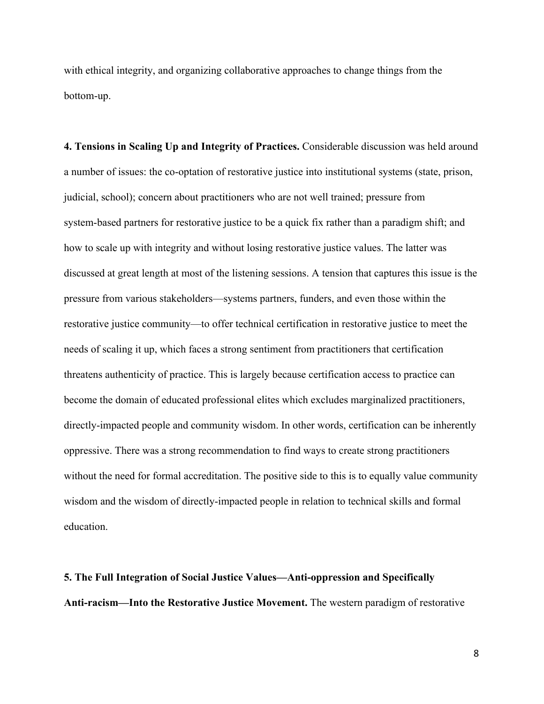with ethical integrity, and organizing collaborative approaches to change things from the bottom-up.

**4. Tensions in Scaling Up and Integrity of Practices.** Considerable discussion was held around a number of issues: the co-optation of restorative justice into institutional systems (state, prison, judicial, school); concern about practitioners who are not well trained; pressure from system-based partners for restorative justice to be a quick fix rather than a paradigm shift; and how to scale up with integrity and without losing restorative justice values. The latter was discussed at great length at most of the listening sessions. A tension that captures this issue is the pressure from various stakeholders—systems partners, funders, and even those within the restorative justice community—to offer technical certification in restorative justice to meet the needs of scaling it up, which faces a strong sentiment from practitioners that certification threatens authenticity of practice. This is largely because certification access to practice can become the domain of educated professional elites which excludes marginalized practitioners, directly-impacted people and community wisdom. In other words, certification can be inherently oppressive. There was a strong recommendation to find ways to create strong practitioners without the need for formal accreditation. The positive side to this is to equally value community wisdom and the wisdom of directly-impacted people in relation to technical skills and formal education.

# **5. The Full Integration of Social Justice Values—Anti-oppression and Specifically Anti-racism—Into the Restorative Justice Movement.** The western paradigm of restorative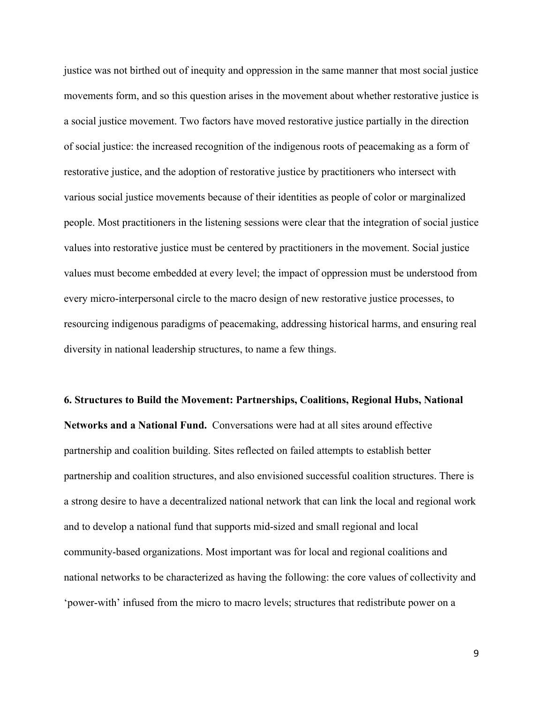justice was not birthed out of inequity and oppression in the same manner that most social justice movements form, and so this question arises in the movement about whether restorative justice is a social justice movement. Two factors have moved restorative justice partially in the direction of social justice: the increased recognition of the indigenous roots of peacemaking as a form of restorative justice, and the adoption of restorative justice by practitioners who intersect with various social justice movements because of their identities as people of color or marginalized people. Most practitioners in the listening sessions were clear that the integration of social justice values into restorative justice must be centered by practitioners in the movement. Social justice values must become embedded at every level; the impact of oppression must be understood from every micro-interpersonal circle to the macro design of new restorative justice processes, to resourcing indigenous paradigms of peacemaking, addressing historical harms, and ensuring real diversity in national leadership structures, to name a few things.

**6. Structures to Build the Movement: Partnerships, Coalitions, Regional Hubs, National Networks and a National Fund.** Conversations were had at all sites around effective partnership and coalition building. Sites reflected on failed attempts to establish better partnership and coalition structures, and also envisioned successful coalition structures. There is a strong desire to have a decentralized national network that can link the local and regional work and to develop a national fund that supports mid-sized and small regional and local community-based organizations. Most important was for local and regional coalitions and national networks to be characterized as having the following: the core values of collectivity and 'power-with' infused from the micro to macro levels; structures that redistribute power on a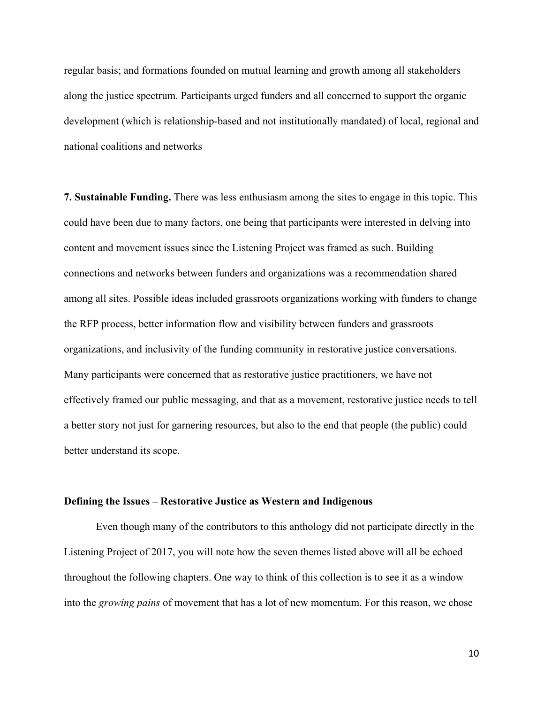regular basis; and formations founded on mutual learning and growth among all stakeholders along the justice spectrum. Participants urged funders and all concerned to support the organic development (which is relationship-based and not institutionally mandated) of local, regional and national coalitions and networks

**7. Sustainable Funding.** There was less enthusiasm among the sites to engage in this topic. This could have been due to many factors, one being that participants were interested in delving into content and movement issues since the Listening Project was framed as such. Building connections and networks between funders and organizations was a recommendation shared among all sites. Possible ideas included grassroots organizations working with funders to change the RFP process, better information flow and visibility between funders and grassroots organizations, and inclusivity of the funding community in restorative justice conversations. Many participants were concerned that as restorative justice practitioners, we have not effectively framed our public messaging, and that as a movement, restorative justice needs to tell a better story not just for garnering resources, but also to the end that people (the public) could better understand its scope.

### **Defining the Issues – Restorative Justice as Western and Indigenous**

Even though many of the contributors to this anthology did not participate directly in the Listening Project of 2017, you will note how the seven themes listed above will all be echoed throughout the following chapters. One way to think of this collection is to see it as a window into the *growing pains* of movement that has a lot of new momentum. For this reason, we chose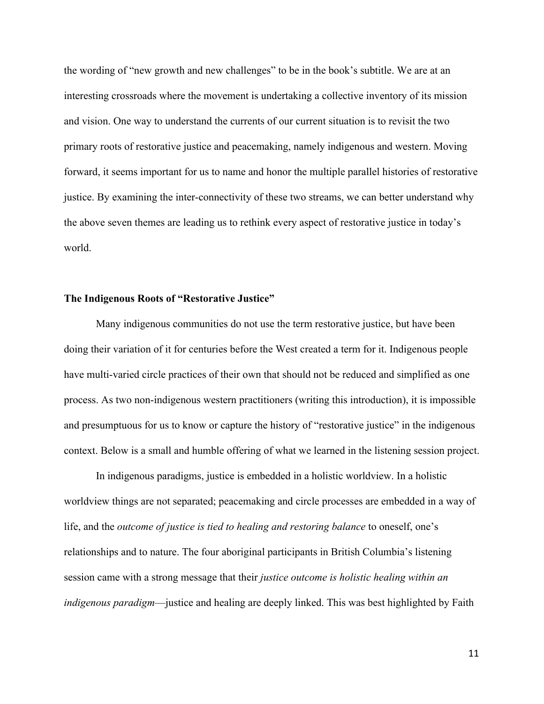the wording of "new growth and new challenges" to be in the book's subtitle. We are at an interesting crossroads where the movement is undertaking a collective inventory of its mission and vision. One way to understand the currents of our current situation is to revisit the two primary roots of restorative justice and peacemaking, namely indigenous and western. Moving forward, it seems important for us to name and honor the multiple parallel histories of restorative justice. By examining the inter-connectivity of these two streams, we can better understand why the above seven themes are leading us to rethink every aspect of restorative justice in today's world.

#### **The Indigenous Roots of "Restorative Justice"**

Many indigenous communities do not use the term restorative justice, but have been doing their variation of it for centuries before the West created a term for it. Indigenous people have multi-varied circle practices of their own that should not be reduced and simplified as one process. As two non-indigenous western practitioners (writing this introduction), it is impossible and presumptuous for us to know or capture the history of "restorative justice" in the indigenous context. Below is a small and humble offering of what we learned in the listening session project.

In indigenous paradigms, justice is embedded in a holistic worldview. In a holistic worldview things are not separated; peacemaking and circle processes are embedded in a way of life, and the *outcome of justice is tied to healing and restoring balance* to oneself, one's relationships and to nature. The four aboriginal participants in British Columbia's listening session came with a strong message that their *justice outcome is holistic healing within an indigenous paradigm*—justice and healing are deeply linked. This was best highlighted by Faith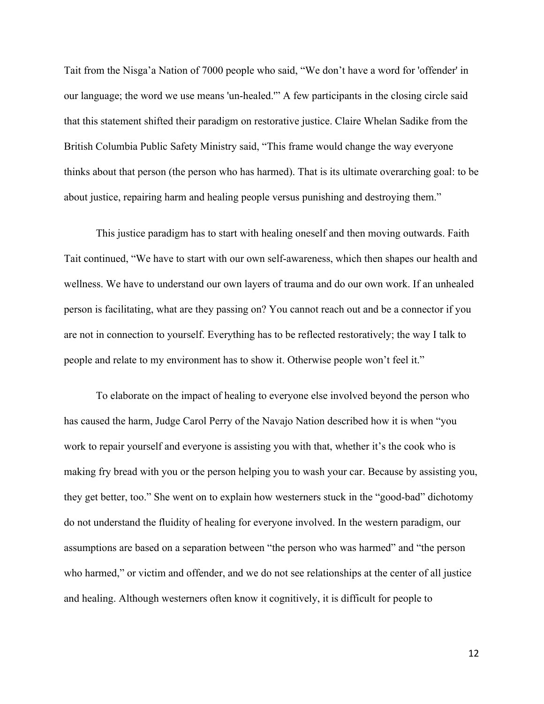Tait from the Nisga'a Nation of 7000 people who said, "We don't have a word for 'offender' in our language; the word we use means 'un-healed.'" A few participants in the closing circle said that this statement shifted their paradigm on restorative justice. Claire Whelan Sadike from the British Columbia Public Safety Ministry said, "This frame would change the way everyone thinks about that person (the person who has harmed). That is its ultimate overarching goal: to be about justice, repairing harm and healing people versus punishing and destroying them."

This justice paradigm has to start with healing oneself and then moving outwards. Faith Tait continued, "We have to start with our own self-awareness, which then shapes our health and wellness. We have to understand our own layers of trauma and do our own work. If an unhealed person is facilitating, what are they passing on? You cannot reach out and be a connector if you are not in connection to yourself. Everything has to be reflected restoratively; the way I talk to people and relate to my environment has to show it. Otherwise people won't feel it."

To elaborate on the impact of healing to everyone else involved beyond the person who has caused the harm, Judge Carol Perry of the Navajo Nation described how it is when "you work to repair yourself and everyone is assisting you with that, whether it's the cook who is making fry bread with you or the person helping you to wash your car. Because by assisting you, they get better, too." She went on to explain how westerners stuck in the "good-bad" dichotomy do not understand the fluidity of healing for everyone involved. In the western paradigm, our assumptions are based on a separation between "the person who was harmed" and "the person who harmed," or victim and offender, and we do not see relationships at the center of all justice and healing. Although westerners often know it cognitively, it is difficult for people to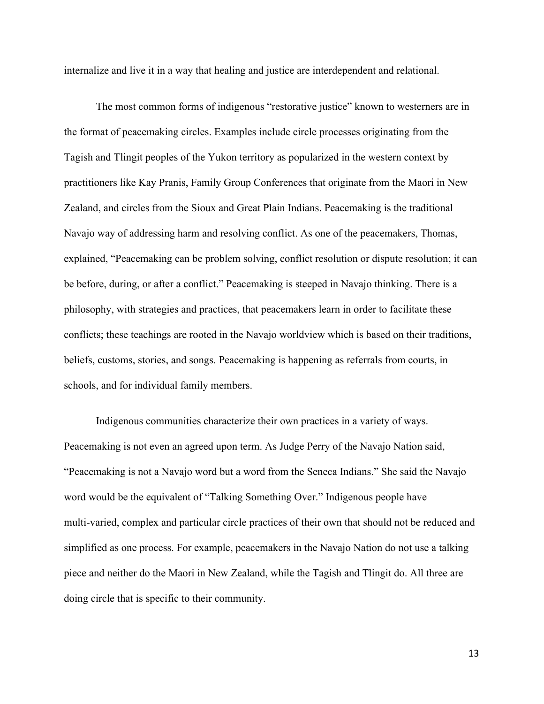internalize and live it in a way that healing and justice are interdependent and relational.

The most common forms of indigenous "restorative justice" known to westerners are in the format of peacemaking circles. Examples include circle processes originating from the Tagish and Tlingit peoples of the Yukon territory as popularized in the western context by practitioners like Kay Pranis, Family Group Conferences that originate from the Maori in New Zealand, and circles from the Sioux and Great Plain Indians. Peacemaking is the traditional Navajo way of addressing harm and resolving conflict. As one of the peacemakers, Thomas, explained, "Peacemaking can be problem solving, conflict resolution or dispute resolution; it can be before, during, or after a conflict." Peacemaking is steeped in Navajo thinking. There is a philosophy, with strategies and practices, that peacemakers learn in order to facilitate these conflicts; these teachings are rooted in the Navajo worldview which is based on their traditions, beliefs, customs, stories, and songs. Peacemaking is happening as referrals from courts, in schools, and for individual family members.

Indigenous communities characterize their own practices in a variety of ways. Peacemaking is not even an agreed upon term. As Judge Perry of the Navajo Nation said, "Peacemaking is not a Navajo word but a word from the Seneca Indians." She said the Navajo word would be the equivalent of "Talking Something Over." Indigenous people have multi-varied, complex and particular circle practices of their own that should not be reduced and simplified as one process. For example, peacemakers in the Navajo Nation do not use a talking piece and neither do the Maori in New Zealand, while the Tagish and Tlingit do. All three are doing circle that is specific to their community.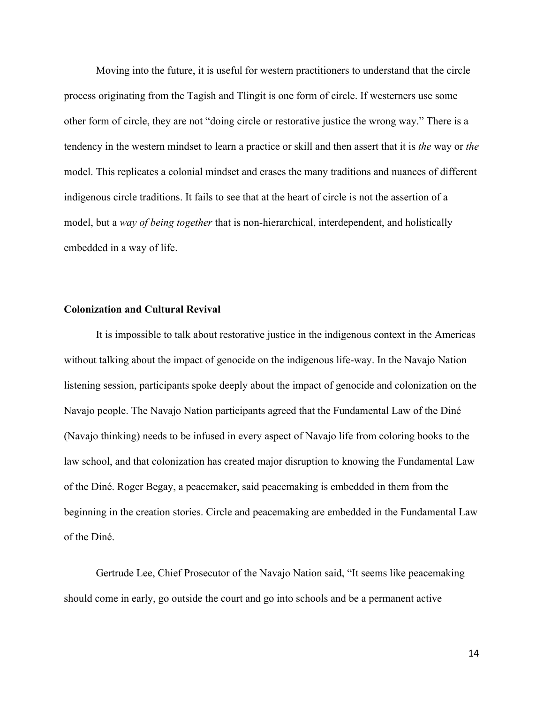Moving into the future, it is useful for western practitioners to understand that the circle process originating from the Tagish and Tlingit is one form of circle. If westerners use some other form of circle, they are not "doing circle or restorative justice the wrong way." There is a tendency in the western mindset to learn a practice or skill and then assert that it is *the* way or *the* model. This replicates a colonial mindset and erases the many traditions and nuances of different indigenous circle traditions. It fails to see that at the heart of circle is not the assertion of a model, but a *way of being together* that is non-hierarchical, interdependent, and holistically embedded in a way of life.

# **Colonization and Cultural Revival**

It is impossible to talk about restorative justice in the indigenous context in the Americas without talking about the impact of genocide on the indigenous life-way. In the Navajo Nation listening session, participants spoke deeply about the impact of genocide and colonization on the Navajo people. The Navajo Nation participants agreed that the Fundamental Law of the Diné (Navajo thinking) needs to be infused in every aspect of Navajo life from coloring books to the law school, and that colonization has created major disruption to knowing the Fundamental Law of the Diné. Roger Begay, a peacemaker, said peacemaking is embedded in them from the beginning in the creation stories. Circle and peacemaking are embedded in the Fundamental Law of the Diné.

Gertrude Lee, Chief Prosecutor of the Navajo Nation said, "It seems like peacemaking should come in early, go outside the court and go into schools and be a permanent active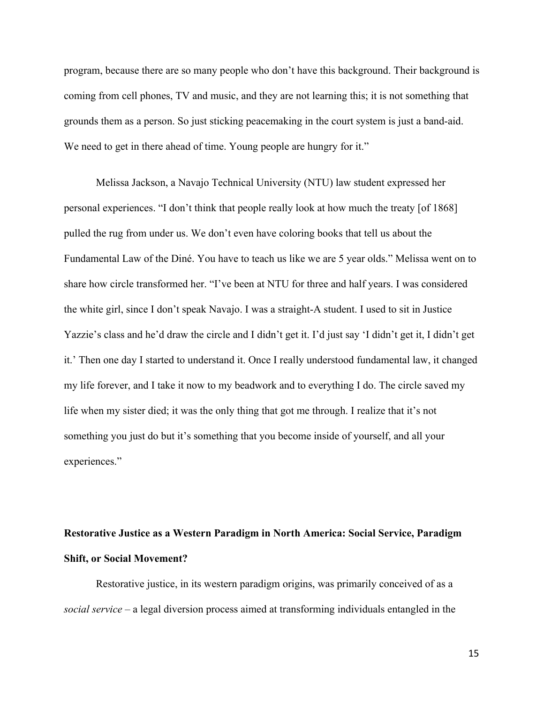program, because there are so many people who don't have this background. Their background is coming from cell phones, TV and music, and they are not learning this; it is not something that grounds them as a person. So just sticking peacemaking in the court system is just a band-aid. We need to get in there ahead of time. Young people are hungry for it."

Melissa Jackson, a Navajo Technical University (NTU) law student expressed her personal experiences. "I don't think that people really look at how much the treaty [of 1868] pulled the rug from under us. We don't even have coloring books that tell us about the Fundamental Law of the Diné. You have to teach us like we are 5 year olds." Melissa went on to share how circle transformed her. "I've been at NTU for three and half years. I was considered the white girl, since I don't speak Navajo. I was a straight-A student. I used to sit in Justice Yazzie's class and he'd draw the circle and I didn't get it. I'd just say 'I didn't get it, I didn't get it.' Then one day I started to understand it. Once I really understood fundamental law, it changed my life forever, and I take it now to my beadwork and to everything I do. The circle saved my life when my sister died; it was the only thing that got me through. I realize that it's not something you just do but it's something that you become inside of yourself, and all your experiences."

# **Restorative Justice as a Western Paradigm in North America: Social Service, Paradigm Shift, or Social Movement?**

Restorative justice, in its western paradigm origins, was primarily conceived of as a *social service* – a legal diversion process aimed at transforming individuals entangled in the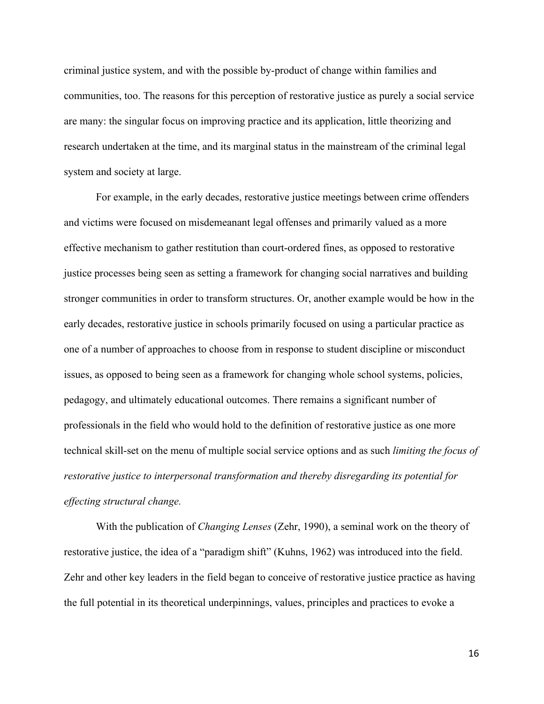criminal justice system, and with the possible by-product of change within families and communities, too. The reasons for this perception of restorative justice as purely a social service are many: the singular focus on improving practice and its application, little theorizing and research undertaken at the time, and its marginal status in the mainstream of the criminal legal system and society at large.

For example, in the early decades, restorative justice meetings between crime offenders and victims were focused on misdemeanant legal offenses and primarily valued as a more effective mechanism to gather restitution than court-ordered fines, as opposed to restorative justice processes being seen as setting a framework for changing social narratives and building stronger communities in order to transform structures. Or, another example would be how in the early decades, restorative justice in schools primarily focused on using a particular practice as one of a number of approaches to choose from in response to student discipline or misconduct issues, as opposed to being seen as a framework for changing whole school systems, policies, pedagogy, and ultimately educational outcomes. There remains a significant number of professionals in the field who would hold to the definition of restorative justice as one more technical skill-set on the menu of multiple social service options and as such *limiting the focus of restorative justice to interpersonal transformation and thereby disregarding its potential for effecting structural change.*

With the publication of *Changing Lenses* (Zehr, 1990), a seminal work on the theory of restorative justice, the idea of a "paradigm shift" (Kuhns, 1962) was introduced into the field. Zehr and other key leaders in the field began to conceive of restorative justice practice as having the full potential in its theoretical underpinnings, values, principles and practices to evoke a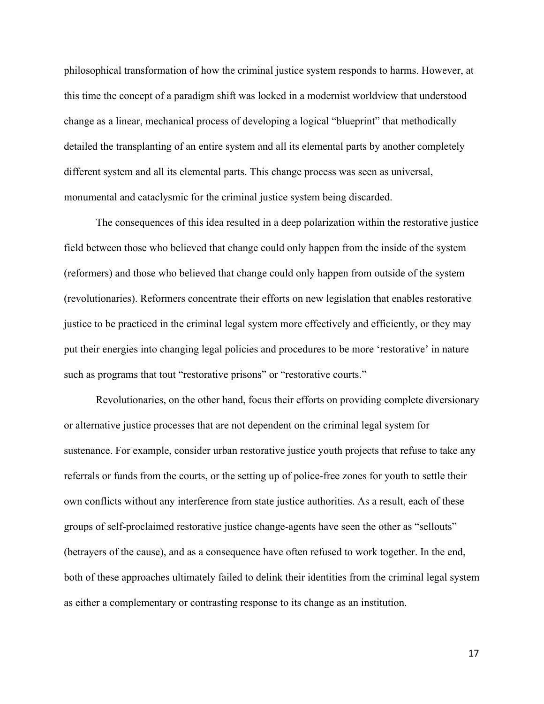philosophical transformation of how the criminal justice system responds to harms. However, at this time the concept of a paradigm shift was locked in a modernist worldview that understood change as a linear, mechanical process of developing a logical "blueprint" that methodically detailed the transplanting of an entire system and all its elemental parts by another completely different system and all its elemental parts. This change process was seen as universal, monumental and cataclysmic for the criminal justice system being discarded.

The consequences of this idea resulted in a deep polarization within the restorative justice field between those who believed that change could only happen from the inside of the system (reformers) and those who believed that change could only happen from outside of the system (revolutionaries). Reformers concentrate their efforts on new legislation that enables restorative justice to be practiced in the criminal legal system more effectively and efficiently, or they may put their energies into changing legal policies and procedures to be more 'restorative' in nature such as programs that tout "restorative prisons" or "restorative courts."

Revolutionaries, on the other hand, focus their efforts on providing complete diversionary or alternative justice processes that are not dependent on the criminal legal system for sustenance. For example, consider urban restorative justice youth projects that refuse to take any referrals or funds from the courts, or the setting up of police-free zones for youth to settle their own conflicts without any interference from state justice authorities. As a result, each of these groups of self-proclaimed restorative justice change-agents have seen the other as "sellouts" (betrayers of the cause), and as a consequence have often refused to work together. In the end, both of these approaches ultimately failed to delink their identities from the criminal legal system as either a complementary or contrasting response to its change as an institution.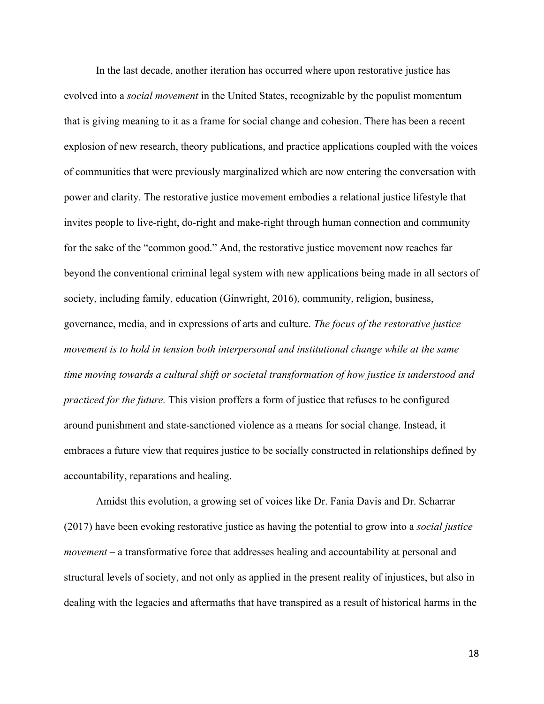In the last decade, another iteration has occurred where upon restorative justice has evolved into a *social movement* in the United States, recognizable by the populist momentum that is giving meaning to it as a frame for social change and cohesion. There has been a recent explosion of new research, theory publications, and practice applications coupled with the voices of communities that were previously marginalized which are now entering the conversation with power and clarity. The restorative justice movement embodies a relational justice lifestyle that invites people to live-right, do-right and make-right through human connection and community for the sake of the "common good." And, the restorative justice movement now reaches far beyond the conventional criminal legal system with new applications being made in all sectors of society, including family, education (Ginwright, 2016), community, religion, business, governance, media, and in expressions of arts and culture. *The focus of the restorative justice movement is to hold in tension both interpersonal and institutional change while at the same time moving towards a cultural shift or societal transformation of how justice is understood and practiced for the future.* This vision proffers a form of justice that refuses to be configured around punishment and state-sanctioned violence as a means for social change. Instead, it embraces a future view that requires justice to be socially constructed in relationships defined by accountability, reparations and healing.

Amidst this evolution, a growing set of voices like Dr. Fania Davis and Dr. Scharrar (2017) have been evoking restorative justice as having the potential to grow into a *social justice movement* – a transformative force that addresses healing and accountability at personal and structural levels of society, and not only as applied in the present reality of injustices, but also in dealing with the legacies and aftermaths that have transpired as a result of historical harms in the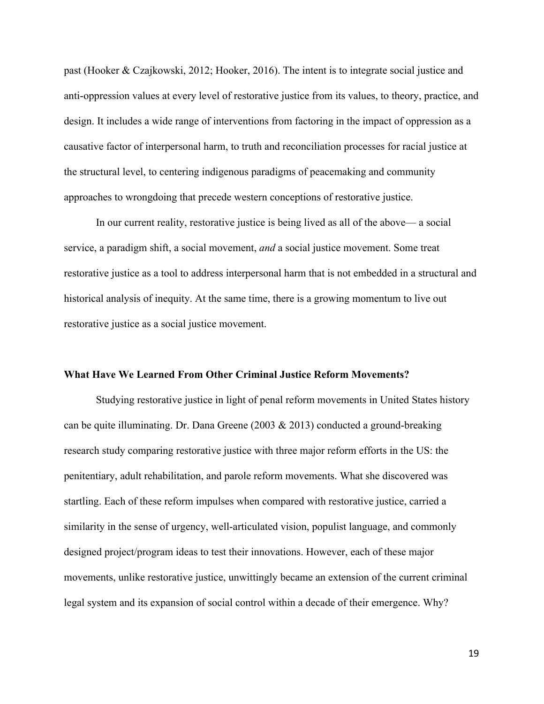past (Hooker & Czajkowski, 2012; Hooker, 2016). The intent is to integrate social justice and anti-oppression values at every level of restorative justice from its values, to theory, practice, and design. It includes a wide range of interventions from factoring in the impact of oppression as a causative factor of interpersonal harm, to truth and reconciliation processes for racial justice at the structural level, to centering indigenous paradigms of peacemaking and community approaches to wrongdoing that precede western conceptions of restorative justice.

In our current reality, restorative justice is being lived as all of the above— a social service, a paradigm shift, a social movement, *and* a social justice movement. Some treat restorative justice as a tool to address interpersonal harm that is not embedded in a structural and historical analysis of inequity. At the same time, there is a growing momentum to live out restorative justice as a social justice movement.

#### **What Have We Learned From Other Criminal Justice Reform Movements?**

Studying restorative justice in light of penal reform movements in United States history can be quite illuminating. Dr. Dana Greene (2003 & 2013) conducted a ground-breaking research study comparing restorative justice with three major reform efforts in the US: the penitentiary, adult rehabilitation, and parole reform movements. What she discovered was startling. Each of these reform impulses when compared with restorative justice, carried a similarity in the sense of urgency, well-articulated vision, populist language, and commonly designed project/program ideas to test their innovations. However, each of these major movements, unlike restorative justice, unwittingly became an extension of the current criminal legal system and its expansion of social control within a decade of their emergence. Why?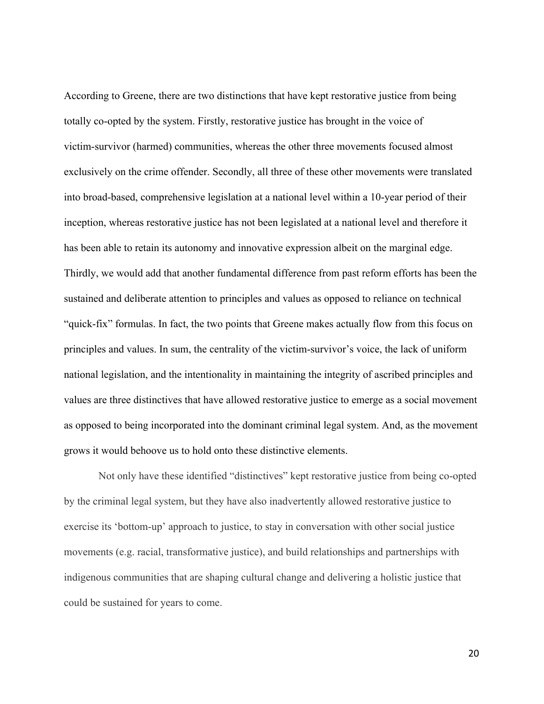According to Greene, there are two distinctions that have kept restorative justice from being totally co-opted by the system. Firstly, restorative justice has brought in the voice of victim-survivor (harmed) communities, whereas the other three movements focused almost exclusively on the crime offender. Secondly, all three of these other movements were translated into broad-based, comprehensive legislation at a national level within a 10-year period of their inception, whereas restorative justice has not been legislated at a national level and therefore it has been able to retain its autonomy and innovative expression albeit on the marginal edge. Thirdly, we would add that another fundamental difference from past reform efforts has been the sustained and deliberate attention to principles and values as opposed to reliance on technical "quick-fix" formulas. In fact, the two points that Greene makes actually flow from this focus on principles and values. In sum, the centrality of the victim-survivor's voice, the lack of uniform national legislation, and the intentionality in maintaining the integrity of ascribed principles and values are three distinctives that have allowed restorative justice to emerge as a social movement as opposed to being incorporated into the dominant criminal legal system. And, as the movement grows it would behoove us to hold onto these distinctive elements.

Not only have these identified "distinctives" kept restorative justice from being co-opted by the criminal legal system, but they have also inadvertently allowed restorative justice to exercise its 'bottom-up' approach to justice, to stay in conversation with other social justice movements (e.g. racial, transformative justice), and build relationships and partnerships with indigenous communities that are shaping cultural change and delivering a holistic justice that could be sustained for years to come.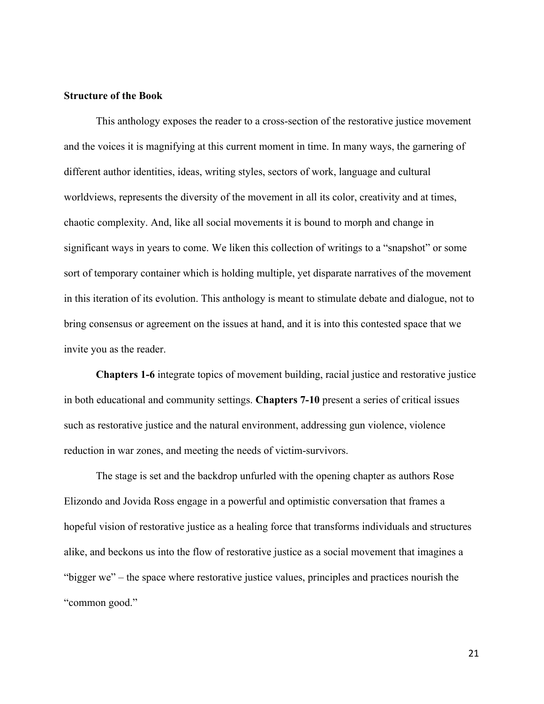#### **Structure of the Book**

This anthology exposes the reader to a cross-section of the restorative justice movement and the voices it is magnifying at this current moment in time. In many ways, the garnering of different author identities, ideas, writing styles, sectors of work, language and cultural worldviews, represents the diversity of the movement in all its color, creativity and at times, chaotic complexity. And, like all social movements it is bound to morph and change in significant ways in years to come. We liken this collection of writings to a "snapshot" or some sort of temporary container which is holding multiple, yet disparate narratives of the movement in this iteration of its evolution. This anthology is meant to stimulate debate and dialogue, not to bring consensus or agreement on the issues at hand, and it is into this contested space that we invite you as the reader.

**Chapters 1-6** integrate topics of movement building, racial justice and restorative justice in both educational and community settings. **Chapters 7-10** present a series of critical issues such as restorative justice and the natural environment, addressing gun violence, violence reduction in war zones, and meeting the needs of victim-survivors.

The stage is set and the backdrop unfurled with the opening chapter as authors Rose Elizondo and Jovida Ross engage in a powerful and optimistic conversation that frames a hopeful vision of restorative justice as a healing force that transforms individuals and structures alike, and beckons us into the flow of restorative justice as a social movement that imagines a "bigger we" – the space where restorative justice values, principles and practices nourish the "common good."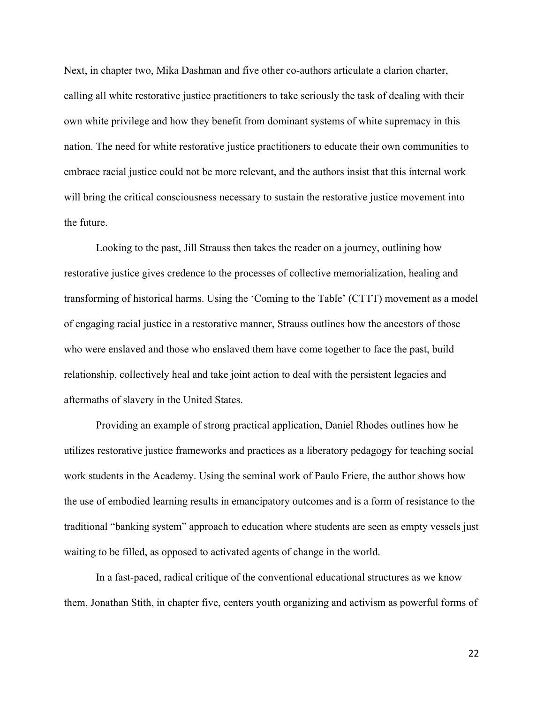Next, in chapter two, Mika Dashman and five other co-authors articulate a clarion charter, calling all white restorative justice practitioners to take seriously the task of dealing with their own white privilege and how they benefit from dominant systems of white supremacy in this nation. The need for white restorative justice practitioners to educate their own communities to embrace racial justice could not be more relevant, and the authors insist that this internal work will bring the critical consciousness necessary to sustain the restorative justice movement into the future.

Looking to the past, Jill Strauss then takes the reader on a journey, outlining how restorative justice gives credence to the processes of collective memorialization, healing and transforming of historical harms. Using the 'Coming to the Table' (CTTT) movement as a model of engaging racial justice in a restorative manner, Strauss outlines how the ancestors of those who were enslaved and those who enslaved them have come together to face the past, build relationship, collectively heal and take joint action to deal with the persistent legacies and aftermaths of slavery in the United States.

Providing an example of strong practical application, Daniel Rhodes outlines how he utilizes restorative justice frameworks and practices as a liberatory pedagogy for teaching social work students in the Academy. Using the seminal work of Paulo Friere, the author shows how the use of embodied learning results in emancipatory outcomes and is a form of resistance to the traditional "banking system" approach to education where students are seen as empty vessels just waiting to be filled, as opposed to activated agents of change in the world.

In a fast-paced, radical critique of the conventional educational structures as we know them, Jonathan Stith, in chapter five, centers youth organizing and activism as powerful forms of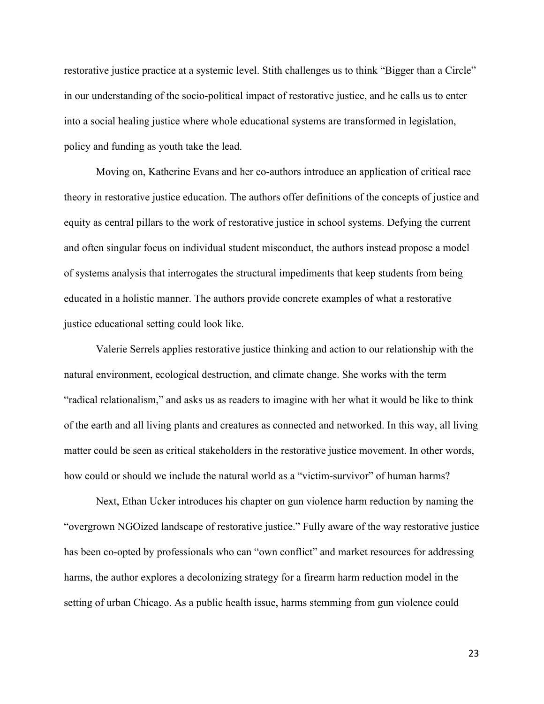restorative justice practice at a systemic level. Stith challenges us to think "Bigger than a Circle" in our understanding of the socio-political impact of restorative justice, and he calls us to enter into a social healing justice where whole educational systems are transformed in legislation, policy and funding as youth take the lead.

Moving on, Katherine Evans and her co-authors introduce an application of critical race theory in restorative justice education. The authors offer definitions of the concepts of justice and equity as central pillars to the work of restorative justice in school systems. Defying the current and often singular focus on individual student misconduct, the authors instead propose a model of systems analysis that interrogates the structural impediments that keep students from being educated in a holistic manner. The authors provide concrete examples of what a restorative justice educational setting could look like.

Valerie Serrels applies restorative justice thinking and action to our relationship with the natural environment, ecological destruction, and climate change. She works with the term "radical relationalism," and asks us as readers to imagine with her what it would be like to think of the earth and all living plants and creatures as connected and networked. In this way, all living matter could be seen as critical stakeholders in the restorative justice movement. In other words, how could or should we include the natural world as a "victim-survivor" of human harms?

Next, Ethan Ucker introduces his chapter on gun violence harm reduction by naming the "overgrown NGOized landscape of restorative justice." Fully aware of the way restorative justice has been co-opted by professionals who can "own conflict" and market resources for addressing harms, the author explores a decolonizing strategy for a firearm harm reduction model in the setting of urban Chicago. As a public health issue, harms stemming from gun violence could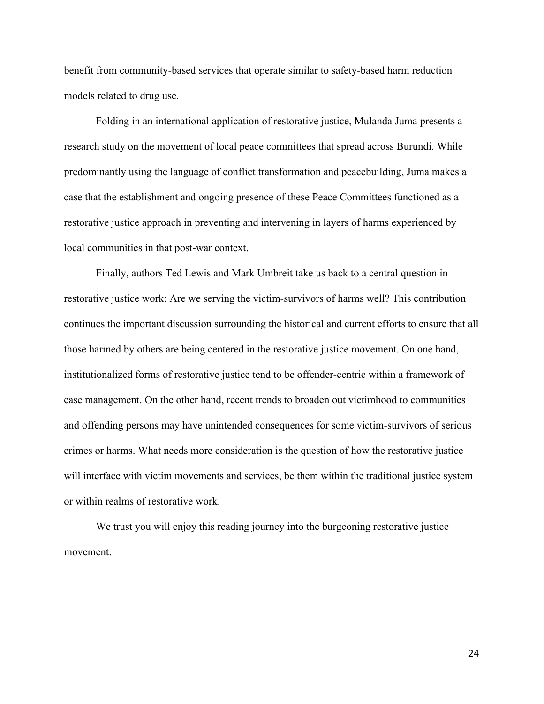benefit from community-based services that operate similar to safety-based harm reduction models related to drug use.

Folding in an international application of restorative justice, Mulanda Juma presents a research study on the movement of local peace committees that spread across Burundi. While predominantly using the language of conflict transformation and peacebuilding, Juma makes a case that the establishment and ongoing presence of these Peace Committees functioned as a restorative justice approach in preventing and intervening in layers of harms experienced by local communities in that post-war context.

Finally, authors Ted Lewis and Mark Umbreit take us back to a central question in restorative justice work: Are we serving the victim-survivors of harms well? This contribution continues the important discussion surrounding the historical and current efforts to ensure that all those harmed by others are being centered in the restorative justice movement. On one hand, institutionalized forms of restorative justice tend to be offender-centric within a framework of case management. On the other hand, recent trends to broaden out victimhood to communities and offending persons may have unintended consequences for some victim-survivors of serious crimes or harms. What needs more consideration is the question of how the restorative justice will interface with victim movements and services, be them within the traditional justice system or within realms of restorative work.

We trust you will enjoy this reading journey into the burgeoning restorative justice movement.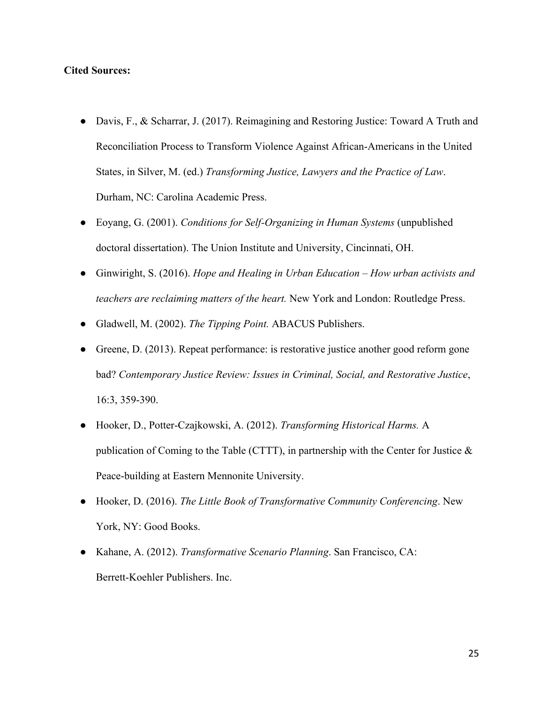## **Cited Sources:**

- Davis, F., & Scharrar, J. (2017). Reimagining and Restoring Justice: Toward A Truth and Reconciliation Process to Transform Violence Against African-Americans in the United States, in Silver, M. (ed.) *Transforming Justice, Lawyers and the Practice of Law*. Durham, NC: Carolina Academic Press.
- Eoyang, G. (2001). *Conditions for Self-Organizing in Human Systems* (unpublished doctoral dissertation). The Union Institute and University, Cincinnati, OH.
- Ginwiright, S. (2016). *Hope and Healing in Urban Education How urban activists and teachers are reclaiming matters of the heart.* New York and London: Routledge Press.
- Gladwell, M. (2002). *The Tipping Point.* ABACUS Publishers.
- Greene, D. (2013). Repeat performance: is restorative justice another good reform gone bad? *Contemporary Justice Review: Issues in Criminal, Social, and Restorative Justice*, 16:3, 359-390.
- Hooker, D., Potter-Czajkowski, A. (2012). *Transforming Historical Harms.* A publication of Coming to the Table (CTTT), in partnership with the Center for Justice & Peace-building at Eastern Mennonite University.
- Hooker, D. (2016). *The Little Book of Transformative Community Conferencing*. New York, NY: Good Books.
- Kahane, A. (2012). *Transformative Scenario Planning*. San Francisco, CA: Berrett-Koehler Publishers. Inc.